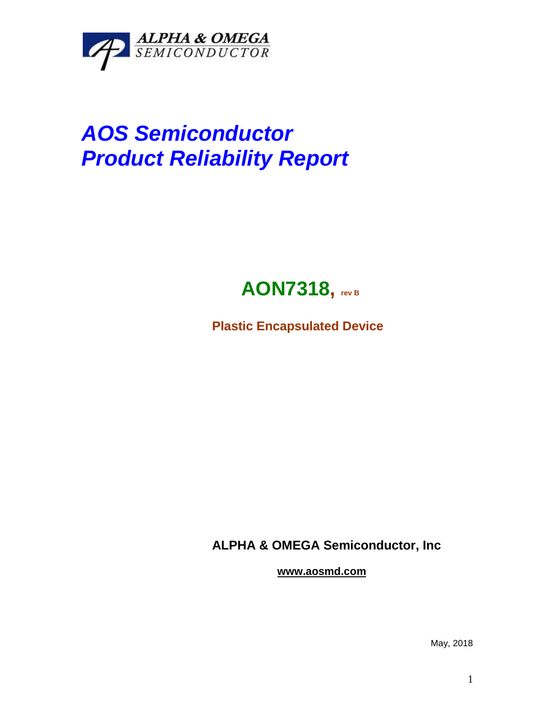

## *AOS Semiconductor Product Reliability Report*



**Plastic Encapsulated Device**

**ALPHA & OMEGA Semiconductor, Inc**

**www.aosmd.com**

May, 2018